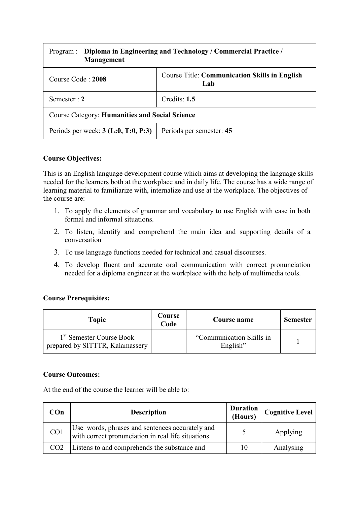| Diploma in Engineering and Technology / Commercial Practice /<br>Program :<br><b>Management</b> |                                                             |  |
|-------------------------------------------------------------------------------------------------|-------------------------------------------------------------|--|
| Course Code: 2008                                                                               | <b>Course Title: Communication Skills in English</b><br>Lab |  |
| Semester $: 2$                                                                                  | Credits: $1.5$                                              |  |
| <b>Course Category: Humanities and Social Science</b>                                           |                                                             |  |
| Periods per week: $3$ (L:0, T:0, P:3)<br>Periods per semester: 45                               |                                                             |  |

### **Course Objectives:**

This is an English language development course which aims at developing the language skills needed for the learners both at the workplace and in daily life. The course has a wide range of learning material to familiarize with, internalize and use at the workplace. The objectives of the course are:

- 1. To apply the elements of grammar and vocabulary to use English with ease in both formal and informal situations.
- 2. To listen, identify and comprehend the main idea and supporting details of a conversation
- 3. To use language functions needed for technical and casual discourses.
- 4. To develop fluent and accurate oral communication with correct pronunciation needed for a diploma engineer at the workplace with the help of multimedia tools.

### **Course Prerequisites:**

| <b>Topic</b>                                                            | Course<br>Course name<br>Code |                                      | <b>Semester</b> |
|-------------------------------------------------------------------------|-------------------------------|--------------------------------------|-----------------|
| 1 <sup>st</sup> Semester Course Book<br>prepared by SITTTR, Kalamassery |                               | "Communication Skills in<br>English" |                 |

#### **Course Outcomes:**

At the end of the course the learner will be able to:

| $Con$           | <b>Description</b>                                                                                    | Duration  <br>(Hours) | <b>Cognitive Level</b> |
|-----------------|-------------------------------------------------------------------------------------------------------|-----------------------|------------------------|
| CO <sub>1</sub> | Use words, phrases and sentences accurately and<br>with correct pronunciation in real life situations |                       | Applying               |
| CO <sub>2</sub> | Listens to and comprehends the substance and                                                          | 10                    | Analysing              |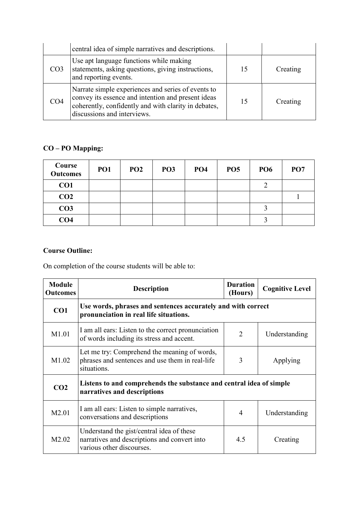|                 | central idea of simple narratives and descriptions.                                                                                                                                             |    |          |
|-----------------|-------------------------------------------------------------------------------------------------------------------------------------------------------------------------------------------------|----|----------|
| CO <sub>3</sub> | Use apt language functions while making<br>statements, asking questions, giving instructions,<br>and reporting events.                                                                          | 15 | Creating |
| CO <sub>4</sub> | Narrate simple experiences and series of events to<br>convey its essence and intention and present ideas<br>coherently, confidently and with clarity in debates,<br>discussions and interviews. | 15 | Creating |

# **CO – PO Mapping:**

| Course<br><b>Outcomes</b> | <b>PO1</b> | PO <sub>2</sub> | PO <sub>3</sub> | PO <sub>4</sub> | PO <sub>5</sub> | PO <sub>6</sub> | PO <sub>7</sub> |
|---------------------------|------------|-----------------|-----------------|-----------------|-----------------|-----------------|-----------------|
| CO <sub>1</sub>           |            |                 |                 |                 |                 |                 |                 |
| CO <sub>2</sub>           |            |                 |                 |                 |                 |                 |                 |
| CO <sub>3</sub>           |            |                 |                 |                 |                 |                 |                 |
| CO <sub>4</sub>           |            |                 |                 |                 |                 | ◠               |                 |

## **Course Outline:**

On completion of the course students will be able to:

| <b>Module</b><br><b>Outcomes</b> | <b>Description</b>                                                                                                     | <b>Duration</b><br>(Hours) | <b>Cognitive Level</b> |
|----------------------------------|------------------------------------------------------------------------------------------------------------------------|----------------------------|------------------------|
| CO <sub>1</sub>                  | Use words, phrases and sentences accurately and with correct<br>pronunciation in real life situations.                 |                            |                        |
| M1.01                            | I am all ears: Listen to the correct pronunciation<br>of words including its stress and accent.                        | $\overline{2}$             | Understanding          |
| M1.02                            | Let me try: Comprehend the meaning of words,<br>phrases and sentences and use them in real-life<br>situations.         | 3                          | Applying               |
| CO <sub>2</sub>                  | Listens to and comprehends the substance and central idea of simple<br>narratives and descriptions                     |                            |                        |
| M2.01                            | I am all ears: Listen to simple narratives,<br>conversations and descriptions                                          | 4                          | Understanding          |
| M <sub>2.02</sub>                | Understand the gist/central idea of these<br>narratives and descriptions and convert into<br>various other discourses. | 4.5                        | Creating               |